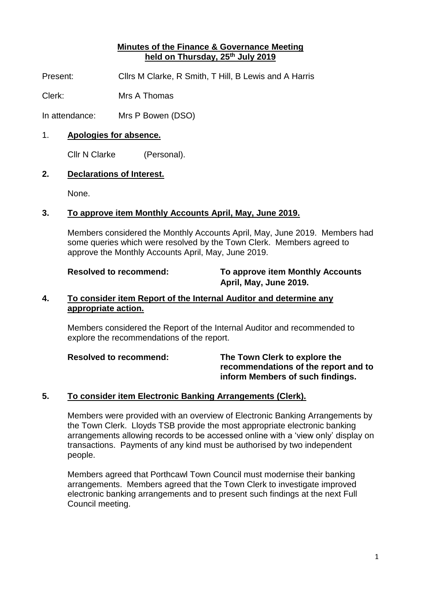# **Minutes of the Finance & Governance Meeting held on Thursday, 25th July 2019**

Present: Cllrs M Clarke, R Smith, T Hill, B Lewis and A Harris

Clerk: Mrs A Thomas

In attendance: Mrs P Bowen (DSO)

# 1. **Apologies for absence.**

Cllr N Clarke (Personal).

# **2. Declarations of Interest.**

None.

# **3. To approve item Monthly Accounts April, May, June 2019.**

Members considered the Monthly Accounts April, May, June 2019. Members had some queries which were resolved by the Town Clerk. Members agreed to approve the Monthly Accounts April, May, June 2019.

# **Resolved to recommend: To approve item Monthly Accounts April, May, June 2019.**

# **4. To consider item Report of the Internal Auditor and determine any appropriate action.**

Members considered the Report of the Internal Auditor and recommended to explore the recommendations of the report.

**Resolved to recommend: The Town Clerk to explore the recommendations of the report and to inform Members of such findings.**

# **5. To consider item Electronic Banking Arrangements (Clerk).**

Members were provided with an overview of Electronic Banking Arrangements by the Town Clerk. Lloyds TSB provide the most appropriate electronic banking arrangements allowing records to be accessed online with a 'view only' display on transactions. Payments of any kind must be authorised by two independent people.

Members agreed that Porthcawl Town Council must modernise their banking arrangements. Members agreed that the Town Clerk to investigate improved electronic banking arrangements and to present such findings at the next Full Council meeting.